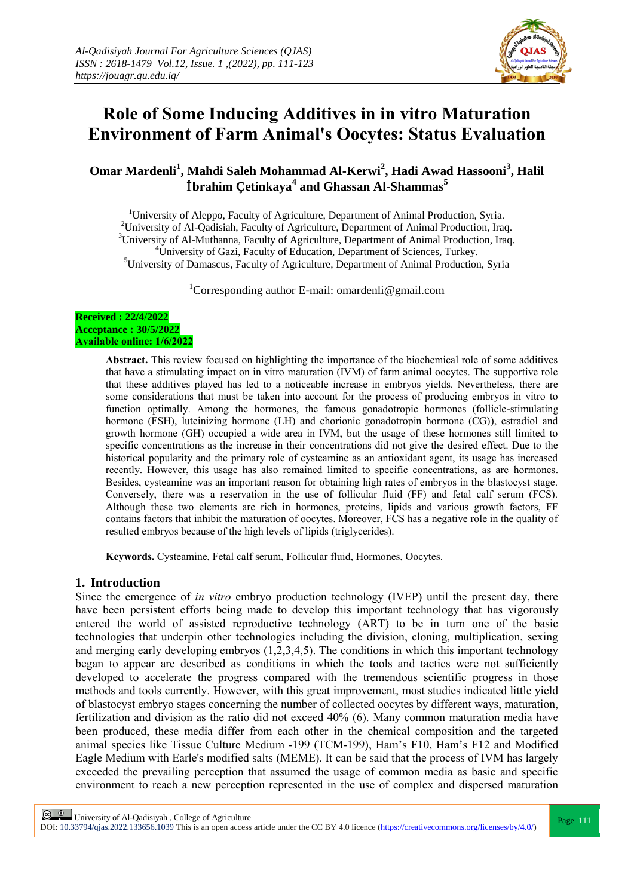

# **Role of Some Inducing Additives in in vitro Maturation Environment of Farm Animal's Oocytes: Status Evaluation**

**Omar Mardenli<sup>1</sup> , Mahdi Saleh Mohammad Al-Kerwi<sup>2</sup> , Hadi Awad Hassooni<sup>3</sup> , Halil**  İ**brahim Çetinkaya<sup>4</sup> and Ghassan Al-Shammas<sup>5</sup>**

<sup>1</sup>University of Aleppo, Faculty of Agriculture, Department of Animal Production, Syria. <sup>2</sup>University of Al-Qadisiah, Faculty of Agriculture, Department of Animal Production, Iraq. <sup>3</sup>University of Al-Muthanna, Faculty of Agriculture, Department of Animal Production, Iraq. <sup>4</sup>University of Gazi, Faculty of Education, Department of Sciences, Turkey. <sup>5</sup>University of Damascus, Faculty of Agriculture, Department of Animal Production, Syria

<sup>1</sup>Corresponding author E-mail: omardenli@gmail.com

#### **Received : 22/4/2022 Acceptance : 30/5/2022 Available online: 1/6/2022**

**Abstract.** This review focused on highlighting the importance of the biochemical role of some additives that have a stimulating impact on in vitro maturation (IVM) of farm animal oocytes. The supportive role that these additives played has led to a noticeable increase in embryos yields. Nevertheless, there are some considerations that must be taken into account for the process of producing embryos in vitro to function optimally. Among the hormones, the famous gonadotropic hormones (follicle-stimulating hormone (FSH), luteinizing hormone (LH) and chorionic gonadotropin hormone (CG)), estradiol and growth hormone (GH) occupied a wide area in IVM, but the usage of these hormones still limited to specific concentrations as the increase in their concentrations did not give the desired effect. Due to the historical popularity and the primary role of cysteamine as an antioxidant agent, its usage has increased recently. However, this usage has also remained limited to specific concentrations, as are hormones. Besides, cysteamine was an important reason for obtaining high rates of embryos in the blastocyst stage. Conversely, there was a reservation in the use of follicular fluid (FF) and fetal calf serum (FCS). Although these two elements are rich in hormones, proteins, lipids and various growth factors, FF contains factors that inhibit the maturation of oocytes. Moreover, FCS has a negative role in the quality of resulted embryos because of the high levels of lipids (triglycerides).

**Keywords.** Cysteamine, Fetal calf serum, Follicular fluid, Hormones, Oocytes.

### **1. Introduction**

Since the emergence of *in vitro* embryo production technology (IVEP) until the present day, there have been persistent efforts being made to develop this important technology that has vigorously entered the world of assisted reproductive technology (ART) to be in turn one of the basic technologies that underpin other technologies including the division, cloning, multiplication, sexing and merging early developing embryos (1,2,3,4,5). The conditions in which this important technology began to appear are described as conditions in which the tools and tactics were not sufficiently developed to accelerate the progress compared with the tremendous scientific progress in those methods and tools currently. However, with this great improvement, most studies indicated little yield of blastocyst embryo stages concerning the number of collected oocytes by different ways, maturation, fertilization and division as the ratio did not exceed 40% (6). Many common maturation media have been produced, these media differ from each other in the chemical composition and the targeted animal species like Tissue Culture Medium -199 (TCM-199), Ham's F10, Ham's F12 and Modified Eagle Medium with Earle's modified salts (MEME). It can be said that the process of IVM has largely exceeded the prevailing perception that assumed the usage of common media as basic and specific environment to reach a new perception represented in the use of complex and dispersed maturation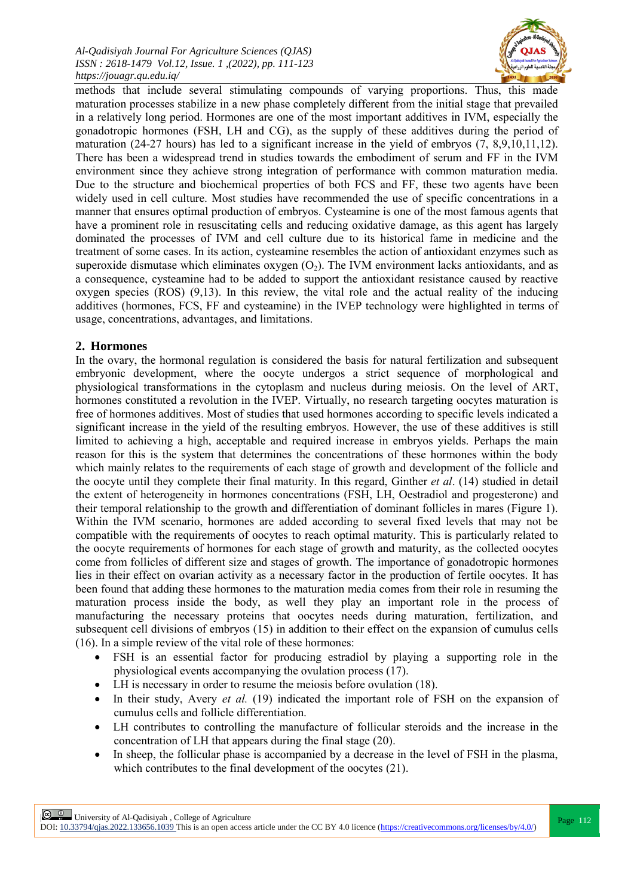

methods that include several stimulating compounds of varying proportions. Thus, this made maturation processes stabilize in a new phase completely different from the initial stage that prevailed in a relatively long period. Hormones are one of the most important additives in IVM, especially the gonadotropic hormones (FSH, LH and CG), as the supply of these additives during the period of maturation (24-27 hours) has led to a significant increase in the yield of embryos (7, 8,9,10,11,12). There has been a widespread trend in studies towards the embodiment of serum and FF in the IVM environment since they achieve strong integration of performance with common maturation media. Due to the structure and biochemical properties of both FCS and FF, these two agents have been widely used in cell culture. Most studies have recommended the use of specific concentrations in a manner that ensures optimal production of embryos. Cysteamine is one of the most famous agents that have a prominent role in resuscitating cells and reducing oxidative damage, as this agent has largely dominated the processes of IVM and cell culture due to its historical fame in medicine and the treatment of some cases. In its action, cysteamine resembles the action of antioxidant enzymes such as superoxide dismutase which eliminates oxygen  $(O_2)$ . The IVM environment lacks antioxidants, and as a consequence, cysteamine had to be added to support the antioxidant resistance caused by reactive oxygen species (ROS) (9,13). In this review, the vital role and the actual reality of the inducing additives (hormones, FCS, FF and cysteamine) in the IVEP technology were highlighted in terms of usage, concentrations, advantages, and limitations.

#### **2. Hormones**

In the ovary, the hormonal regulation is considered the basis for natural fertilization and subsequent embryonic development, where the oocyte undergos a strict sequence of morphological and physiological transformations in the cytoplasm and nucleus during meiosis. On the level of ART, hormones constituted a revolution in the IVEP. Virtually, no research targeting oocytes maturation is free of hormones additives. Most of studies that used hormones according to specific levels indicated a significant increase in the yield of the resulting embryos. However, the use of these additives is still limited to achieving a high, acceptable and required increase in embryos yields. Perhaps the main reason for this is the system that determines the concentrations of these hormones within the body which mainly relates to the requirements of each stage of growth and development of the follicle and the oocyte until they complete their final maturity. In this regard, Ginther *et al*. (14) studied in detail the extent of heterogeneity in hormones concentrations (FSH, LH, Oestradiol and progesterone) and their temporal relationship to the growth and differentiation of dominant follicles in mares (Figure 1). Within the IVM scenario, hormones are added according to several fixed levels that may not be compatible with the requirements of oocytes to reach optimal maturity. This is particularly related to the oocyte requirements of hormones for each stage of growth and maturity, as the collected oocytes come from follicles of different size and stages of growth. The importance of gonadotropic hormones lies in their effect on ovarian activity as a necessary factor in the production of fertile oocytes. It has been found that adding these hormones to the maturation media comes from their role in resuming the maturation process inside the body, as well they play an important role in the process of manufacturing the necessary proteins that oocytes needs during maturation, fertilization, and subsequent cell divisions of embryos (15) in addition to their effect on the expansion of cumulus cells (16). In a simple review of the vital role of these hormones:

- FSH is an essential factor for producing estradiol by playing a supporting role in the physiological events accompanying the ovulation process (17).
- LH is necessary in order to resume the meiosis before ovulation (18).
- In their study, Avery *et al.* (19) indicated the important role of FSH on the expansion of cumulus cells and follicle differentiation.
- LH contributes to controlling the manufacture of follicular steroids and the increase in the concentration of LH that appears during the final stage (20).
- In sheep, the follicular phase is accompanied by a decrease in the level of FSH in the plasma, which contributes to the final development of the oocytes (21).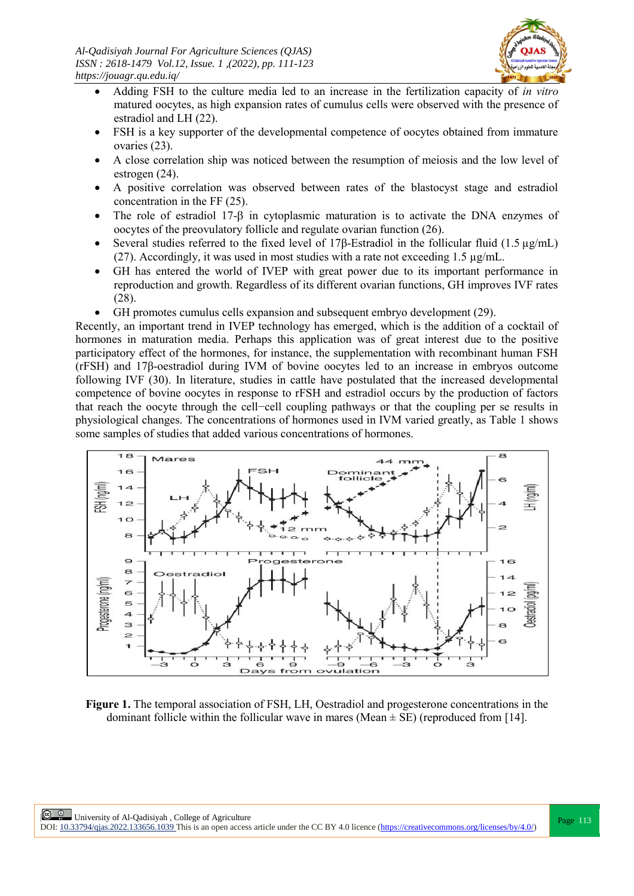

- Adding FSH to the culture media led to an increase in the fertilization capacity of *in vitro* matured oocytes, as high expansion rates of cumulus cells were observed with the presence of estradiol and LH (22).
- FSH is a key supporter of the developmental competence of oocytes obtained from immature ovaries (23).
- A close correlation ship was noticed between the resumption of meiosis and the low level of estrogen (24).
- A positive correlation was observed between rates of the blastocyst stage and estradiol concentration in the FF (25).
- The role of estradiol 17- $\beta$  in cytoplasmic maturation is to activate the DNA enzymes of oocytes of the preovulatory follicle and regulate ovarian function (26).
- Several studies referred to the fixed level of 17β-Estradiol in the follicular fluid (1.5 µg/mL) (27). Accordingly, it was used in most studies with a rate not exceeding  $1.5 \mu g/mL$ .
- GH has entered the world of IVEP with great power due to its important performance in reproduction and growth. Regardless of its different ovarian functions, GH improves IVF rates (28).
- GH promotes cumulus cells expansion and subsequent embryo development (29).

Recently, an important trend in IVEP technology has emerged, which is the addition of a cocktail of hormones in maturation media. Perhaps this application was of great interest due to the positive participatory effect of the hormones, for instance, the supplementation with recombinant human FSH (rFSH) and 17β-oestradiol during IVM of bovine oocytes led to an increase in embryos outcome following IVF (30). In literature, studies in cattle have postulated that the increased developmental competence of bovine oocytes in response to rFSH and estradiol occurs by the production of factors that reach the oocyte through the cell−cell coupling pathways or that the coupling per se results in physiological changes. The concentrations of hormones used in IVM varied greatly, as Table 1 shows some samples of studies that added various concentrations of hormones.



**Figure 1.** The temporal association of FSH, LH, Oestradiol and progesterone concentrations in the dominant follicle within the follicular wave in mares (Mean  $\pm$  SE) (reproduced from [14].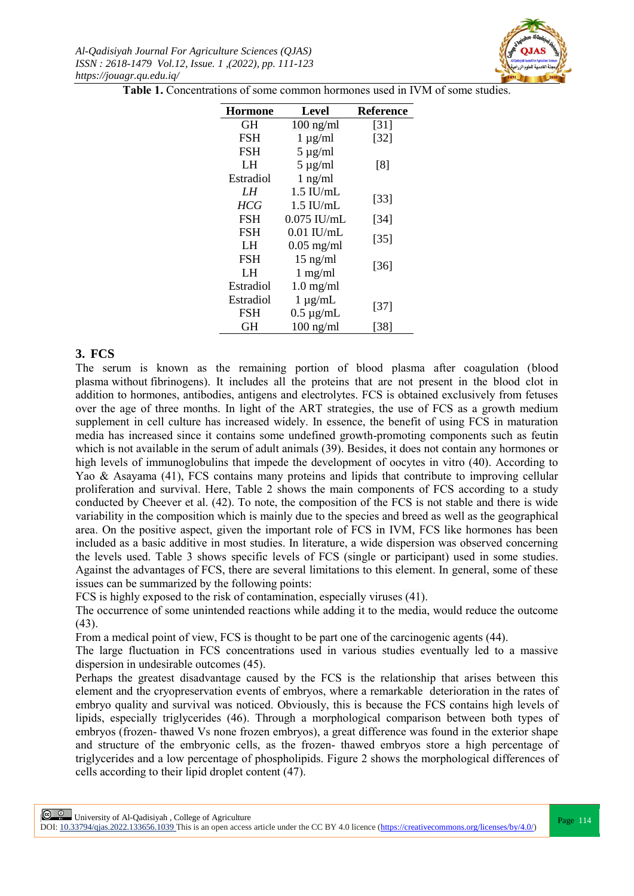

**Table 1.** Concentrations of some common hormones used in IVM of some studies.

| <b>Hormone</b> | Level               | <b>Reference</b>   |  |
|----------------|---------------------|--------------------|--|
| GH             | $100$ ng/ml         | $\lceil 31 \rceil$ |  |
| <b>FSH</b>     | $1 \mu g/ml$        | $[32]$             |  |
| <b>FSH</b>     | $5 \mu g/ml$        |                    |  |
| LH             | $5 \mu g/ml$        | [8]                |  |
| Estradiol      | $1$ ng/ml           |                    |  |
| LH             | $1.5$ IU/mL         |                    |  |
| <b>HCG</b>     | $1.5$ IU/mL         | $[33]$             |  |
| <b>FSH</b>     | $0.075$ IU/mL       | $[34]$             |  |
| <b>FSH</b>     | $0.01$ IU/mL        | $[35]$             |  |
| LH.            | $0.05$ mg/ml        |                    |  |
| <b>FSH</b>     | $15$ ng/ml          | $[36]$             |  |
| LH             | $1$ mg/ml           |                    |  |
| Estradiol      | $1.0 \text{ mg/ml}$ |                    |  |
| Estradiol      | $1 \mu g/mL$        |                    |  |
| <b>FSH</b>     | $0.5 \mu g/mL$      | $[37]$             |  |
| GH             | $100$ ng/ml         | [38]               |  |

#### **3. FCS**

The serum is known as the remaining portion of blood plasma after coagulation [\(blood](https://en.wikipedia.org/wiki/Blood_plasma)  [plasma](https://en.wikipedia.org/wiki/Blood_plasma) without [fibrinogens\)](https://en.wikipedia.org/wiki/Fibrinogen). It includes all the proteins that are not present in the blood clot in addition to hormones, antibodies, antigens and electrolytes. FCS is obtained exclusively from fetuses over the age of three months. In light of the ART strategies, the use of FCS as a growth medium supplement in cell culture has increased widely. In essence, the benefit of using FCS in maturation media has increased since it contains some undefined growth-promoting components such as feutin which is not available in the serum of adult animals (39). Besides, it does not contain any hormones or high levels of immunoglobulins that impede the development of oocytes in vitro (40). According to Yao & Asayama (41), FCS contains many proteins and lipids that contribute to improving cellular proliferation and survival. Here, Table 2 shows the main components of FCS according to a study conducted by Cheever et al. (42). To note, the composition of the FCS is not stable and there is wide variability in the composition which is mainly due to the species and breed as well as the geographical area. On the positive aspect, given the important role of FCS in IVM, FCS like hormones has been included as a basic additive in most studies. In literature, a wide dispersion was observed concerning the levels used. Table 3 shows specific levels of FCS (single or participant) used in some studies. Against the advantages of FCS, there are several limitations to this element. In general, some of these issues can be summarized by the following points:

FCS is highly exposed to the risk of contamination, especially viruses (41).

The occurrence of some unintended reactions while adding it to the media, would reduce the outcome (43).

From a medical point of view, FCS is thought to be part one of the carcinogenic agents (44).

The large fluctuation in FCS concentrations used in various studies eventually led to a massive dispersion in undesirable outcomes (45).

Perhaps the greatest disadvantage caused by the FCS is the relationship that arises between this element and the cryopreservation events of embryos, where a remarkable deterioration in the rates of embryo quality and survival was noticed. Obviously, this is because the FCS contains high levels of lipids, especially triglycerides (46). Through a morphological comparison between both types of embryos (frozen- thawed Vs none frozen embryos), a great difference was found in the exterior shape and structure of the embryonic cells, as the frozen- thawed embryos store a high percentage of triglycerides and a low percentage of phospholipids. Figure 2 shows the morphological differences of cells according to their lipid droplet content (47).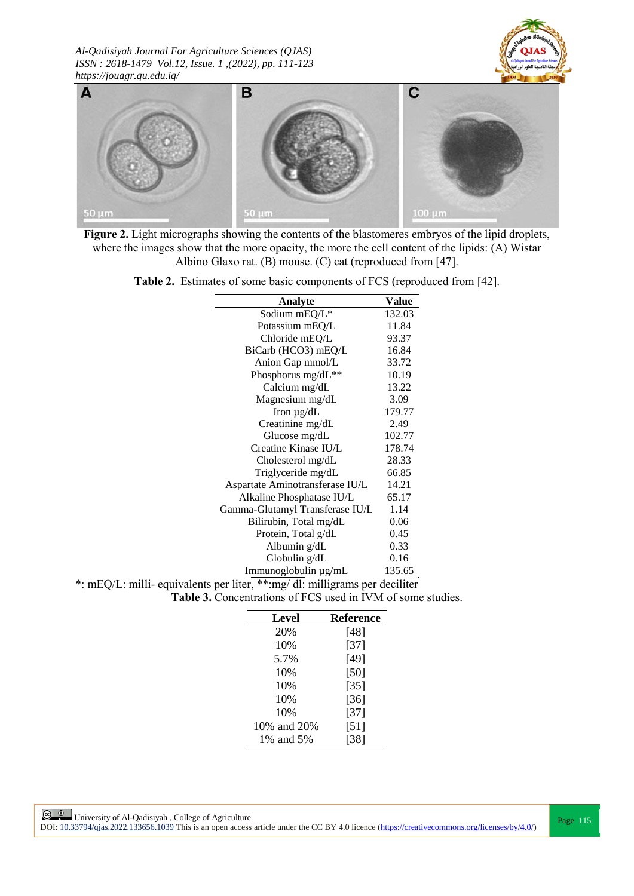



**Figure 2.** Light micrographs showing the contents of the blastomeres embryos of the lipid droplets, where the images show that the more opacity, the more the cell content of the lipids: (A) Wistar Albino Glaxo rat. (B) mouse. (C) cat (reproduced from [47].

**Table 2.** Estimates of some basic components of FCS (reproduced from [42].

| Analyte                                                                   | Value  |
|---------------------------------------------------------------------------|--------|
| Sodium $mEQ/L^*$                                                          | 132.03 |
| Potassium mEQ/L                                                           | 11.84  |
| Chloride mEQ/L                                                            | 93.37  |
| BiCarb (HCO3) mEQ/L                                                       | 16.84  |
| Anion Gap mmol/L                                                          | 33.72  |
| Phosphorus mg/dL**                                                        | 10.19  |
| Calcium mg/dL                                                             | 13.22  |
| Magnesium mg/dL                                                           | 3.09   |
| Iron $\mu$ g/dL                                                           | 179.77 |
| Creatinine mg/dL                                                          | 2.49   |
| Glucose mg/dL                                                             | 102.77 |
| Creatine Kinase IU/L                                                      | 178.74 |
| Cholesterol mg/dL                                                         | 28.33  |
| Triglyceride mg/dL                                                        | 66.85  |
| Aspartate Aminotransferase IU/L                                           | 14.21  |
| Alkaline Phosphatase IU/L                                                 | 65.17  |
| Gamma-Glutamyl Transferase IU/L                                           | 1.14   |
| Bilirubin, Total mg/dL                                                    | 0.06   |
| Protein, Total g/dL                                                       | 0.45   |
| Albumin g/dL                                                              | 0.33   |
| Globulin g/dL                                                             | 0.16   |
| Immunoglobulin µg/mL                                                      | 135.65 |
| *: mEQ/L: milli-equivalents per liter, **:mg/dl: milligrams per deciliter |        |

**Table 3.** Concentrations of FCS used in IVM of some studies.

| Level       | Reference |
|-------------|-----------|
| 20%         | [48]      |
| 10%         | $[37]$    |
| 5.7%        | [49]      |
| 10%         | [50]      |
| 10%         | $[35]$    |
| 10%         | $[36]$    |
| 10%         | $[37]$    |
| 10% and 20% | [51]      |
| 1% and 5%   | [38]      |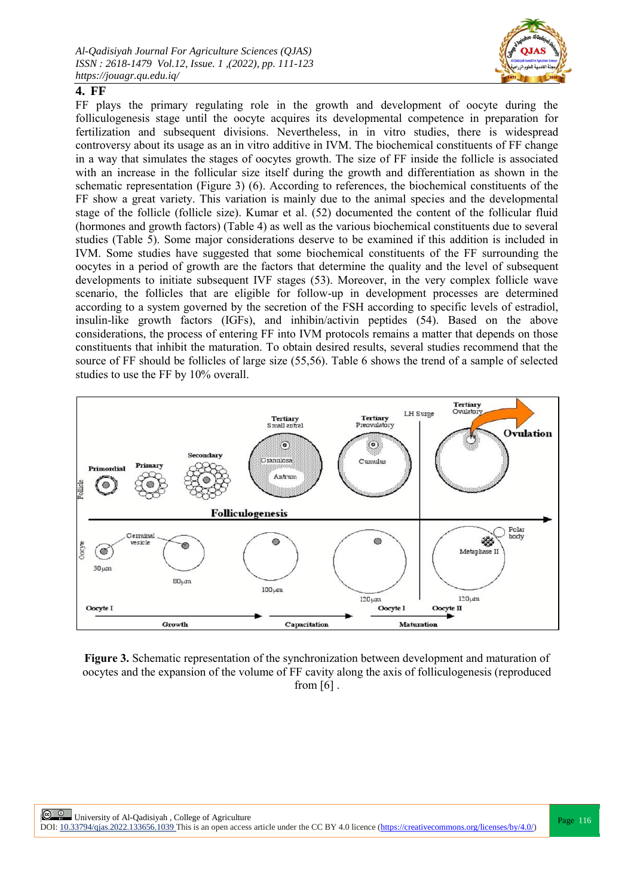

## **4. FF**

FF plays the primary regulating role in the growth and development of oocyte during the folliculogenesis stage until the oocyte acquires its developmental competence in preparation for fertilization and subsequent divisions. Nevertheless, in in vitro studies, there is widespread controversy about its usage as an in vitro additive in IVM. The biochemical constituents of FF change in a way that simulates the stages of oocytes growth. The size of FF inside the follicle is associated with an increase in the follicular size itself during the growth and differentiation as shown in the schematic representation (Figure 3) (6). According to references, the biochemical constituents of the FF show a great variety. This variation is mainly due to the animal species and the developmental stage of the follicle (follicle size). Kumar et al. (52) documented the content of the follicular fluid (hormones and growth factors) (Table 4) as well as the various biochemical constituents due to several studies (Table 5). Some major considerations deserve to be examined if this addition is included in IVM. Some studies have suggested that some biochemical constituents of the FF surrounding the oocytes in a period of growth are the factors that determine the quality and the level of subsequent developments to initiate subsequent IVF stages (53). Moreover, in the very complex follicle wave scenario, the follicles that are eligible for follow-up in development processes are determined according to a system governed by the secretion of the FSH according to specific levels of estradiol, insulin-like growth factors (IGFs), and inhibin/activin peptides (54). Based on the above considerations, the process of entering FF into IVM protocols remains a matter that depends on those constituents that inhibit the maturation. To obtain desired results, several studies recommend that the source of FF should be follicles of large size (55,56). Table 6 shows the trend of a sample of selected studies to use the FF by 10% overall.



**Figure 3.** Schematic representation of the synchronization between development and maturation of oocytes and the expansion of the volume of FF cavity along the axis of folliculogenesis (reproduced from  $[6]$ .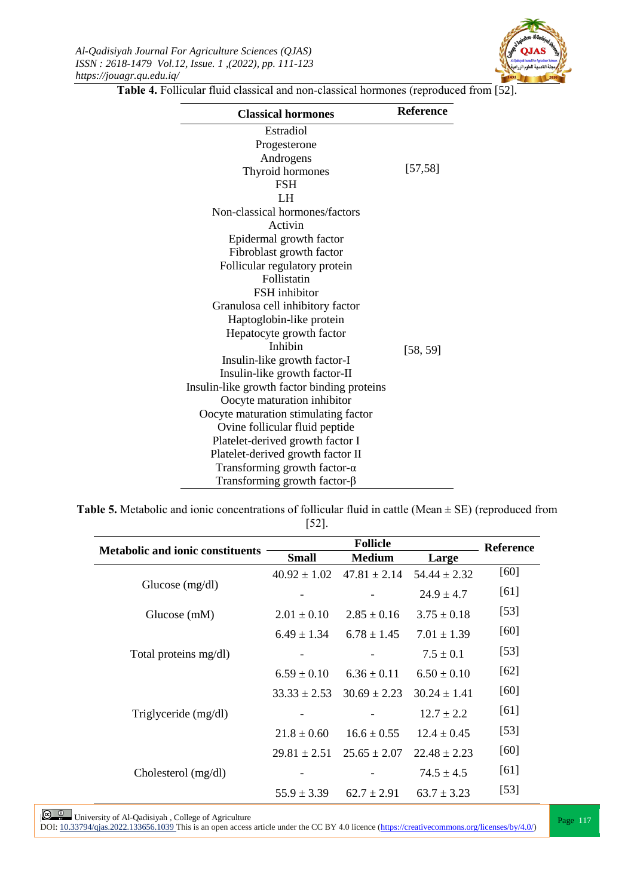

**Table 4.** Follicular fluid classical and non-classical hormones (reproduced from [52].

| <b>Classical hormones</b>                   | <b>Reference</b> |
|---------------------------------------------|------------------|
| Estradiol                                   |                  |
| Progesterone                                |                  |
| Androgens                                   |                  |
| Thyroid hormones                            | [57, 58]         |
| <b>FSH</b>                                  |                  |
| LH                                          |                  |
| Non-classical hormones/factors              |                  |
| Activin                                     |                  |
| Epidermal growth factor                     |                  |
| Fibroblast growth factor                    |                  |
| Follicular regulatory protein               |                  |
| Follistatin                                 |                  |
| FSH inhibitor                               |                  |
| Granulosa cell inhibitory factor            |                  |
| Haptoglobin-like protein                    |                  |
| Hepatocyte growth factor                    |                  |
| Inhibin                                     | [58, 59]         |
| Insulin-like growth factor-I                |                  |
| Insulin-like growth factor-II               |                  |
| Insulin-like growth factor binding proteins |                  |
| Oocyte maturation inhibitor                 |                  |
| Oocyte maturation stimulating factor        |                  |
| Ovine follicular fluid peptide              |                  |
| Platelet-derived growth factor I            |                  |
| Platelet-derived growth factor II           |                  |
| Transforming growth factor- $\alpha$        |                  |
| Transforming growth factor- $\beta$         |                  |

**Table 5.** Metabolic and ionic concentrations of follicular fluid in cattle (Mean  $\pm$  SE) (reproduced from [52].

|                                         | <b>Follicle</b>  |                  |                  | <b>Reference</b> |
|-----------------------------------------|------------------|------------------|------------------|------------------|
| <b>Metabolic and ionic constituents</b> | <b>Small</b>     | <b>Medium</b>    | Large            |                  |
| Glucose $(mg/dl)$                       | $40.92 \pm 1.02$ | $47.81 \pm 2.14$ | $54.44 \pm 2.32$ | [60]             |
|                                         |                  |                  | $24.9 \pm 4.7$   | [61]             |
| Glucose (mM)                            | $2.01 \pm 0.10$  | $2.85 \pm 0.16$  | $3.75 \pm 0.18$  | $[53]$           |
|                                         | $6.49 \pm 1.34$  | $6.78 \pm 1.45$  | $7.01 \pm 1.39$  | [60]             |
| Total proteins mg/dl)                   |                  |                  | $7.5 \pm 0.1$    | $[53]$           |
|                                         | $6.59 \pm 0.10$  | $6.36 \pm 0.11$  | $6.50 \pm 0.10$  | $[62]$           |
|                                         | $33.33 \pm 2.53$ | $30.69 \pm 2.23$ | $30.24 \pm 1.41$ | [60]             |
| Triglyceride (mg/dl)                    |                  |                  | $12.7 \pm 2.2$   | [61]             |
|                                         | $21.8 \pm 0.60$  | $16.6 \pm 0.55$  | $12.4 \pm 0.45$  | $[53]$           |
|                                         | $29.81 \pm 2.51$ | $25.65 \pm 2.07$ | $22.48 \pm 2.23$ | [60]             |
| Cholesterol (mg/dl)                     |                  |                  | $74.5 \pm 4.5$   | [61]             |
|                                         | $55.9 \pm 3.39$  | $62.7 \pm 2.91$  | $63.7 \pm 3.23$  | $[53]$           |

University of Al-Qadisiyah, College of Agriculture<br>DOI: <u>10.33794/qjas.2022.133656.1039</u> This is an open access article under the CC BY 4.0 licence (https://creativecommons.org/licenses/by/4.0/)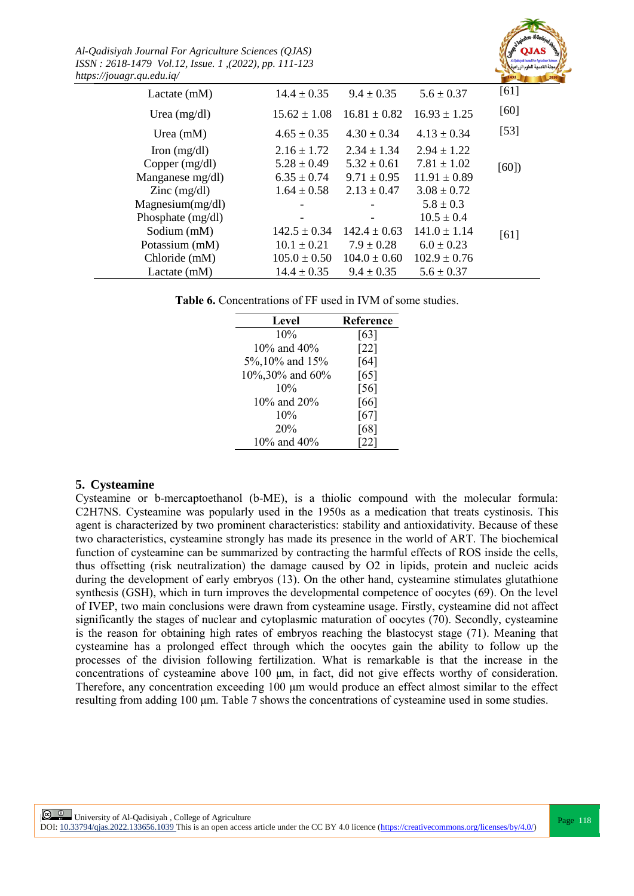*Al-Qadisiyah Journal For Agriculture Sciences (QJAS) ISSN : 2618-1479 Vol.12, Issue. 1 ,(2022), pp. 111-123 https://jouagr.qu.edu.iq/*



| $, \, \, \ldots, \, \, \ldots, \, \, \ldots, \, \, \ldots, \, \, \ldots, \, \, \ldots$ |                  |                  |                  |        |
|----------------------------------------------------------------------------------------|------------------|------------------|------------------|--------|
| Lactate $(mM)$                                                                         | $14.4 \pm 0.35$  | $9.4 \pm 0.35$   | $5.6 \pm 0.37$   | [61]   |
| Urea $(mg/dl)$                                                                         | $15.62 \pm 1.08$ | $16.81 \pm 0.82$ | $16.93 \pm 1.25$ | [60]   |
| Urea $(mM)$                                                                            | $4.65 \pm 0.35$  | $4.30 \pm 0.34$  | $4.13 \pm 0.34$  | $[53]$ |
| Iron $(mg/dl)$                                                                         | $2.16 \pm 1.72$  | $2.34 \pm 1.34$  | $2.94 \pm 1.22$  |        |
| Copper $(mg/dl)$                                                                       | $5.28 \pm 0.49$  | $5.32 \pm 0.61$  | $7.81 \pm 1.02$  | [60]   |
| Manganese mg/dl)                                                                       | $6.35 \pm 0.74$  | $9.71 \pm 0.95$  | $11.91 \pm 0.89$ |        |
| $\text{Zinc} \text{ (mg/dl)}$                                                          | $1.64 \pm 0.58$  | $2.13 \pm 0.47$  | $3.08 \pm 0.72$  |        |
| Magnesium(mg/dl)                                                                       |                  |                  | $5.8 \pm 0.3$    |        |
| Phosphate (mg/dl)                                                                      |                  |                  | $10.5 \pm 0.4$   |        |
| Sodium (mM)                                                                            | $142.5 \pm 0.34$ | $142.4 \pm 0.63$ | $141.0 \pm 1.14$ | [61]   |
| Potassium (mM)                                                                         | $10.1 \pm 0.21$  | $7.9 \pm 0.28$   | $6.0 \pm 0.23$   |        |
| Chloride (mM)                                                                          | $105.0 \pm 0.50$ | $104.0 \pm 0.60$ | $102.9 \pm 0.76$ |        |
| Lactate $(mM)$                                                                         | $14.4 \pm 0.35$  | $9.4 \pm 0.35$   | $5.6 \pm 0.37$   |        |
|                                                                                        |                  |                  |                  |        |

**Table 6.** Concentrations of FF used in IVM of some studies.

| <b>Level</b>    | <b>Reference</b> |
|-----------------|------------------|
| 10%             | [63]             |
| 10\% and 40\%   | [22]             |
| 5%, 10% and 15% | [64]             |
| 10%,30% and 60% | [65]             |
| 10%             | $[56]$           |
| 10% and 20%     | [66]             |
| 10%             | [67]             |
| 20%             | [68]             |
| 10% and 40%     | [22]             |
|                 |                  |

## **5. Cysteamine**

Cysteamine or b-mercaptoethanol (b-ME), is a thiolic compound with the molecular formula: C2H7NS. Cysteamine was popularly used in the 1950s as a medication that treats [cystinosis.](https://en.wikipedia.org/wiki/Cystinosis) This agent is characterized by two prominent characteristics: stability and antioxidativity. Because of these two characteristics, cysteamine strongly has made its presence in the world of ART. The biochemical function of cysteamine can be summarized by contracting the harmful effects of ROS inside the cells, thus offsetting (risk neutralization) the damage caused by O2 in lipids, protein and nucleic acids during the development of early embryos (13). On the other hand, cysteamine stimulates glutathione synthesis (GSH), which in turn improves the developmental competence of oocytes (69). On the level of IVEP, two main conclusions were drawn from cysteamine usage. Firstly, cysteamine did not affect significantly the stages of nuclear and cytoplasmic maturation of oocytes (70). Secondly, cysteamine is the reason for obtaining high rates of embryos reaching the blastocyst stage (71). Meaning that cysteamine has a prolonged effect through which the oocytes gain the ability to follow up the processes of the division following fertilization. What is remarkable is that the increase in the concentrations of cysteamine above 100 μm, in fact, did not give effects worthy of consideration. Therefore, any concentration exceeding 100 μm would produce an effect almost similar to the effect resulting from adding 100 μm. Table 7 shows the concentrations of cysteamine used in some studies.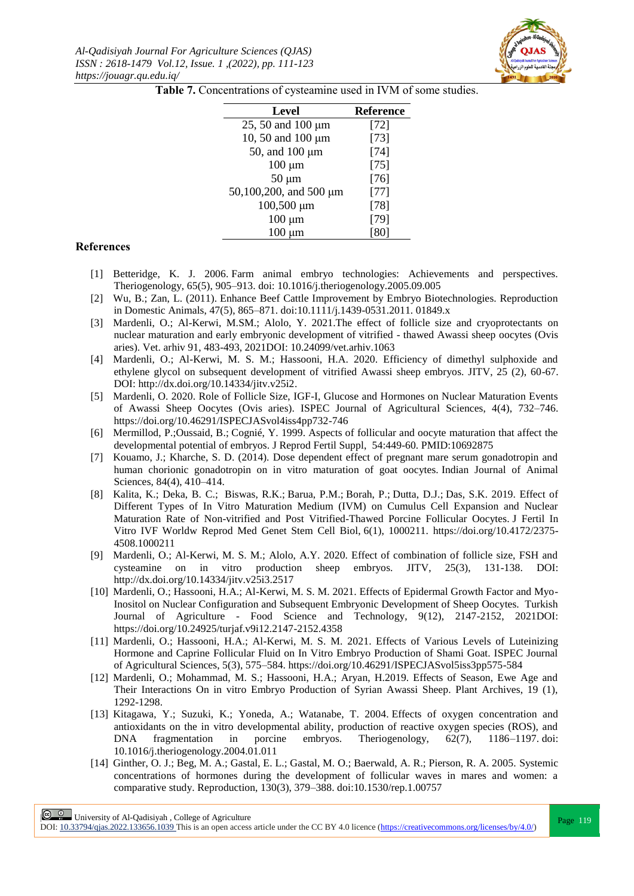

| Level                  | <b>Reference</b> |
|------------------------|------------------|
| 25, 50 and 100 $\mu$ m | $[72]$           |
| 10, 50 and 100 µm      | $[73]$           |
| 50, and 100 $\mu$ m    | $[74]$           |
| $100 \mu m$            | $[75]$           |
| $50 \mu m$             | $[76]$           |
| 50,100,200, and 500 µm | $[77]$           |
| $100,500 \mu m$        | $[78]$           |
| $100 \mu m$            | $[79]$           |
| μm<br>100              |                  |

Table 7. Concentrations of cysteamine used in IVM of some studies.

#### **References**

- [1] Betteridge, K. J. 2006. Farm animal embryo technologies: Achievements and perspectives. Theriogenology, 65(5), 905–913. doi: 10.1016/j.theriogenology.2005.09.005
- [2] Wu, B.; Zan, L. (2011). Enhance Beef Cattle Improvement by Embryo Biotechnologies. Reproduction in Domestic Animals, 47(5), 865–871. doi:10.1111/j.1439-0531.2011. 01849.x
- [3] Mardenli, O.; Al-Kerwi, M.SM.; Alolo, Y. 2021.The effect of follicle size and cryoprotectants on nuclear maturation and early embryonic development of vitrified - thawed Awassi sheep oocytes (Ovis aries). Vet. arhiv 91, 483-493, 2021DOI: 10.24099/vet.arhiv.1063
- [4] Mardenli, O.; Al-Kerwi, M. S. M.; Hassooni, H.A. 2020. Efficiency of dimethyl sulphoxide and ethylene glycol on subsequent development of vitrified Awassi sheep embryos. JITV, 25 (2), 60-67. DOI: [http://dx.doi.org/10.14334/jitv.v25i2.](http://dx.doi.org/10.14334/jitv.v25i2)
- [5] Mardenli, O. 2020. Role of Follicle Size, IGF-I, Glucose and Hormones on Nuclear Maturation Events of Awassi Sheep Oocytes (Ovis aries). ISPEC Journal of Agricultural Sciences, 4(4), 732–746. <https://doi.org/10.46291/ISPECJASvol4iss4pp732-746>
- [6] [Mermillod, P.](https://www.ncbi.nlm.nih.gov/pubmed/?term=Mermillod%20P%5BAuthor%5D&cauthor=true&cauthor_uid=10692875)[;Oussaid, B.](https://www.ncbi.nlm.nih.gov/pubmed/?term=Oussaid%20B%5BAuthor%5D&cauthor=true&cauthor_uid=10692875); [Cognié, Y.](https://www.ncbi.nlm.nih.gov/pubmed/?term=Cogni%C3%A9%20Y%5BAuthor%5D&cauthor=true&cauthor_uid=10692875) 1999. Aspects of follicular and oocyte maturation that affect the developmental potential of embryos. J Reprod [Fertil Suppl,](https://www.ncbi.nlm.nih.gov/pubmed/10692875) 54:449-60. PMID:10692875
- [7] Kouamo, J.; Kharche, S. D. (2014). Dose dependent effect of pregnant mare serum gonadotropin and human chorionic gonadotropin on in vitro maturation of goat oocytes. Indian Journal of Animal Sciences, 84(4), 410–414.
- [8] Kalita, K.; Deka, B. C.; [Biswas, R.K.](https://www.longdom.org/author/biswas-rk-5993); [Barua, P.M.;](https://www.longdom.org/author/barua-pm-5994) [Borah, P.;](https://www.longdom.org/author/borah-p-5995) [Dutta, D.J.;](https://www.longdom.org/author/dutta-dj-5996) [Das, S.K.](https://www.longdom.org/author/das-sk-5997) 2019. Effect of Different Types of In Vitro Maturation Medium (IVM) on Cumulus Cell Expansion and Nuclear Maturation Rate of Non-vitrified and Post Vitrified-Thawed Porcine Follicular Oocytes. J Fertil In Vitro IVF Worldw Reprod Med Genet Stem Cell Biol, 6(1), 1000211. [https://doi.org/10.4172/2375-](https://doi.org/10.4172/2375-4508.1000211) [4508.1000211](https://doi.org/10.4172/2375-4508.1000211)
- [9] Mardenli, O.; Al-Kerwi, M. S. M.; Alolo, A.Y. 2020. Effect of combination of follicle size, FSH and cysteamine on in vitro production sheep embryos. JITV, 25(3), 131-138. DOI: http://dx.doi.org/10.14334/jitv.v25i3.2517
- [10] Mardenli, O.; Hassooni, H.A.; Al-Kerwi, M. S. M. 2021. Effects of Epidermal Growth Factor and Myo-Inositol on Nuclear Configuration and Subsequent Embryonic Development of Sheep Oocytes. Turkish Journal of Agriculture - Food Science and Technology, 9(12), 2147-2152, 2021DOI: <https://doi.org/10.24925/turjaf.v9i12.2147-2152.4358>
- [11] Mardenli, O.; Hassooni, H.A.; Al-Kerwi, M. S. M. 2021. Effects of Various Levels of Luteinizing Hormone and Caprine Follicular Fluid on In Vitro Embryo Production of Shami Goat. ISPEC Journal of Agricultural Sciences, 5(3), 575–584[. https://doi.org/10.46291/ISPECJASvol5iss3pp575-584](https://doi.org/10.46291/ISPECJASvol5iss3pp575-584)
- [12] Mardenli, O.; Mohammad, M. S.; Hassooni, H.A.; Aryan, H.2019. Effects of Season, Ewe Age and Their Interactions On in vitro Embryo Production of Syrian Awassi Sheep. Plant Archives, 19 (1), 1292-1298.
- [13] Kitagawa, Y.; Suzuki, K.; Yoneda, A.; Watanabe, T. 2004. Effects of oxygen concentration and antioxidants on the in vitro developmental ability, production of reactive oxygen species (ROS), and DNA fragmentation in porcine embryos. Theriogenology, 62(7), 1186–1197. doi: 10.1016/j.theriogenology.2004.01.011
- [14] Ginther, O. J.; Beg, M. A.; Gastal, E. L.; Gastal, M. O.; Baerwald, A. R.; Pierson, R. A. 2005. Systemic concentrations of hormones during the development of follicular waves in mares and women: a comparative study. Reproduction, 130(3), 379–388. doi:10.1530/rep.1.00757

**Page 119**<br>
Page 119<br>
Records the correct of Al-Qadisiyah , College of Agriculture<br>
Records the correct of Al-College of Agriculture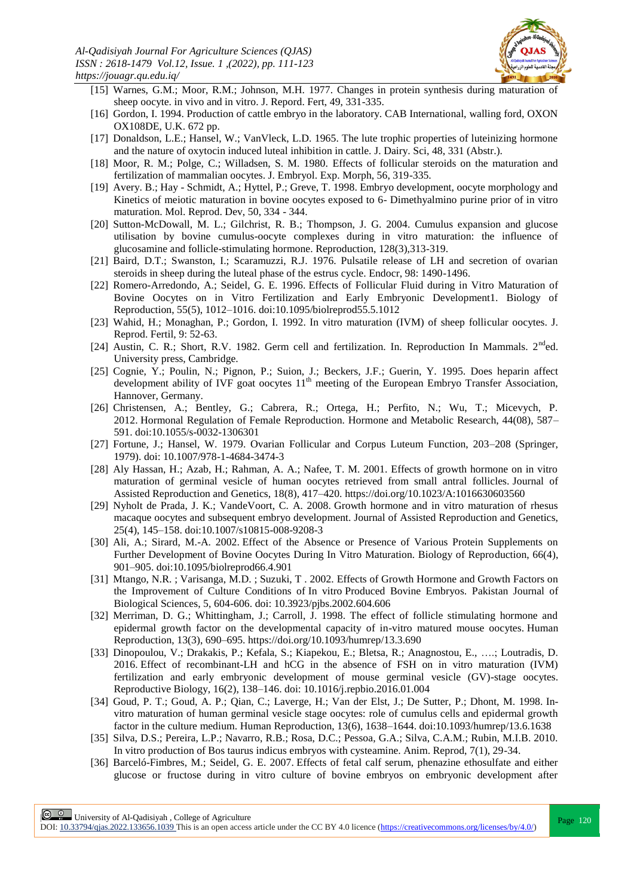

- [15] Warnes, G.M.; Moor, R.M.; Johnson, M.H. 1977. Changes in protein synthesis during maturation of sheep oocyte. in vivo and in vitro. J. Repord. Fert, 49, 331-335.
- [16] Gordon, I. 1994. Production of cattle embryo in the laboratory. CAB International, walling ford, OXON OX108DE, U.K. 672 pp.
- [17] Donaldson, L.E.; Hansel, W.; VanVleck, L.D. 1965. The lute trophic properties of luteinizing hormone and the nature of oxytocin induced luteal inhibition in cattle. J. Dairy. Sci, 48, 331 (Abstr.).
- [18] Moor, R. M.; Polge, C.; Willadsen, S. M. 1980. Effects of follicular steroids on the maturation and fertilization of mammalian oocytes. J. Embryol. Exp. Morph, 56, 319-335.
- [19] Avery. B.; Hay Schmidt, A.; Hyttel, P.; Greve, T. 1998. Embryo development, oocyte morphology and Kinetics of meiotic maturation in bovine oocytes exposed to 6- Dimethyalmino purine prior of in vitro maturation. Mol. Reprod. Dev, 50, 334 - 344.
- [20] Sutton-McDowall, M. L.; Gilchrist, R. B.; Thompson, J. G. 2004. Cumulus expansion and glucose utilisation by bovine cumulus-oocyte complexes during in vitro maturation: the influence of glucosamine and follicle-stimulating hormone. Reproduction, 128(3),313-319.
- [21] Baird, D.T.; Swanston, I.; Scaramuzzi, R.J. 1976. Pulsatile release of LH and secretion of ovarian steroids in sheep during the luteal phase of the estrus cycle. Endocr, 98: 1490-1496.
- [22] Romero-Arredondo, A.; Seidel, G. E. 1996. Effects of Follicular Fluid during in Vitro Maturation of Bovine Oocytes on in Vitro Fertilization and Early Embryonic Development1. Biology of Reproduction, 55(5), 1012–1016. doi:10.1095/biolreprod55.5.1012
- [23] Wahid, H.; Monaghan, P.; Gordon, I. 1992. In vitro maturation (IVM) of sheep follicular oocytes. J. Reprod. Fertil, 9: 52-63.
- [24] Austin, C. R.; Short, R.V. 1982. Germ cell and fertilization. In. Reproduction In Mammals. 2<sup>nd</sup>ed. University press, Cambridge.
- [25] Cognie, Y.; Poulin, N.; Pignon, P.; Suion, J.; Beckers, J.F.; Guerin, Y. 1995. Does heparin affect development ability of IVF goat oocytes  $11<sup>th</sup>$  meeting of the European Embryo Transfer Association, Hannover, Germany.
- [26] Christensen, A.; Bentley, G.; Cabrera, R.; Ortega, H.; Perfito, N.; Wu, T.; Micevych, P. 2012. Hormonal Regulation of Female Reproduction. Hormone and Metabolic Research, 44(08), 587– 591. doi:10.1055/s-0032-1306301
- [27] Fortune, J.; Hansel, W. 1979. Ovarian Follicular and Corpus Luteum Function, 203–208 (Springer, 1979). doi: 10.1007/978-1-4684-3474-3
- [28] Aly Hassan, H.; Azab, H.; Rahman, A. A.; Nafee, T. M. 2001. Effects of growth hormone on in vitro maturation of germinal vesicle of human oocytes retrieved from small antral follicles. Journal of Assisted Reproduction and Genetics, 18(8), 417–420.<https://doi.org/10.1023/A:1016630603560>
- [29] Nyholt de Prada, J. K.; VandeVoort, C. A. 2008. Growth hormone and in vitro maturation of rhesus macaque oocytes and subsequent embryo development. Journal of Assisted Reproduction and Genetics, 25(4), 145–158. doi:10.1007/s10815-008-9208-3
- [30] Ali, A.; Sirard, M.-A. 2002. Effect of the Absence or Presence of Various Protein Supplements on Further Development of Bovine Oocytes During In Vitro Maturation. Biology of Reproduction, 66(4), 901–905. doi:10.1095/biolreprod66.4.901
- [31] Mtango, [N.R. ;](http://ascidatabase.com/author.php?author=N.R.&last=Mtango) Varisanga, [M.D. ;](http://ascidatabase.com/author.php?author=M.D.&last=Varisanga) Suzuki, [T .](http://ascidatabase.com/author.php?author=Tatsuyuki&last=Suzuki) 2002. Effects of Growth Hormone and Growth Factors on the Improvement of Culture Conditions of In vitro Produced Bovine Embryos. Pakistan Journal of Biological Sciences, 5, 604-606. doi: [10.3923/pjbs.2002.604.606](http://dx.doi.org/10.3923/pjbs.2002.604.606)
- [32] Merriman, D. G.; Whittingham, J.; Carroll, J. 1998. The effect of follicle stimulating hormone and epidermal growth factor on the developmental capacity of in-vitro matured mouse oocytes. Human Reproduction, 13(3), 690–695.<https://doi.org/10.1093/humrep/13.3.690>
- [33] Dinopoulou, V.; Drakakis, P.; Kefala, S.; Kiapekou, E.; Bletsa, R.; Anagnostou, E., ….; Loutradis, D. 2016. Effect of recombinant-LH and hCG in the absence of FSH on in vitro maturation (IVM) fertilization and early embryonic development of mouse germinal vesicle (GV)-stage oocytes. Reproductive Biology, 16(2), 138–146. doi: 10.1016/j.repbio.2016.01.004
- [34] Goud, P. T.; Goud, A. P.; Qian, C.; Laverge, H.; Van der Elst, J.; De Sutter, P.; Dhont, M. 1998. Invitro maturation of human germinal vesicle stage oocytes: role of cumulus cells and epidermal growth factor in the culture medium. Human Reproduction, 13(6), 1638–1644. doi:10.1093/humrep/13.6.1638
- [35] Silva, D.S.; Pereira, L.P.; Navarro, R.B.; Rosa, D.C.; Pessoa, G.A.; Silva, C.A.M.; Rubin, M.I.B. 2010. In vitro production of Bos taurus indicus embryos with cysteamine. Anim. Reprod, 7(1), 29-34.
- [36] Barceló-Fimbres, M.; Seidel, G. E. 2007. Effects of fetal calf serum, phenazine ethosulfate and either glucose or fructose during in vitro culture of bovine embryos on embryonic development after

**Page 120**<br>
Page 120<br>
Recently 2002 100 College of Agriculture<br>
Recently 2003 100 2004 100 College of Agriculture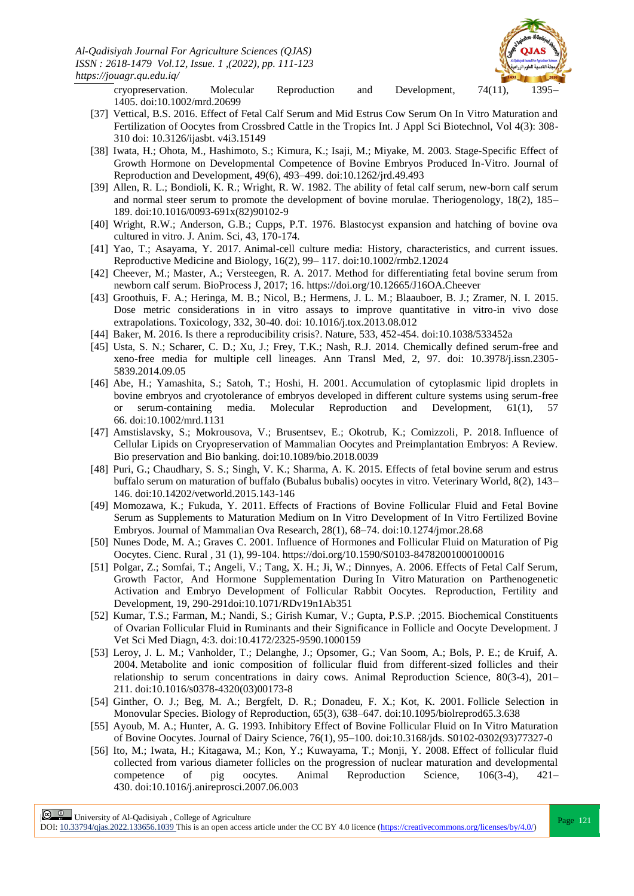

cryopreservation. Molecular Reproduction and Development, 74(11), 1395– 1405. doi:10.1002/mrd.20699

- [37] Vettical, B.S. 2016. Effect of Fetal Calf Serum and Mid Estrus Cow Serum On In Vitro Maturation and Fertilization of Oocytes from Crossbred Cattle in the Tropics Int. J Appl Sci Biotechnol, Vol 4(3): 308- 310 doi: 10.3126/ijasbt. v4i3.15149
- [38] Iwata, H.; Ohota, M., Hashimoto, S.; Kimura, K.; Isaji, M.; Miyake, M. 2003. Stage-Specific Effect of Growth Hormone on Developmental Competence of Bovine Embryos Produced In-Vitro. Journal of Reproduction and Development, 49(6), 493–499. doi:10.1262/jrd.49.493
- [39] Allen, R. L.; Bondioli, K. R.; Wright, R. W. 1982. The ability of fetal calf serum, new-born calf serum and normal steer serum to promote the development of bovine morulae. Theriogenology, 18(2), 185– 189. doi:10.1016/0093-691x(82)90102-9
- [40] Wright, R.W.; Anderson, G.B.; Cupps, P.T. 1976. Blastocyst expansion and hatching of bovine ova cultured in vitro. J. Anim. Sci, 43, 170-174.
- [41] Yao, T.; Asayama, Y. 2017. Animal-cell culture media: History, characteristics, and current issues. Reproductive Medicine and Biology, 16(2), 99– 117. doi:10.1002/rmb2.12024
- [42] Cheever, M.; Master, A.; Versteegen, R. A. 2017. Method for differentiating fetal bovine serum from newborn calf serum. BioProcess J, 2017; 16. <https://doi.org/10.12665/J16OA.Cheever>
- [43] Groothuis, F. A.; Heringa, M. B.; Nicol, B.; Hermens, J. L. M.; Blaauboer, B. J.; Zramer, N. I. 2015. Dose metric considerations in in vitro assays to improve quantitative in vitro-in vivo dose extrapolations. Toxicology, 332, 30-40. doi: 10.1016/j.tox.2013.08.012
- [44] Baker, M. 2016. Is there a reproducibility crisis?. Nature, 533, 452-454. doi:10.1038/533452a
- [45] Usta, S. N.; Scharer, C. D.; Xu, J.; Frey, T.K.; Nash, R.J. 2014. Chemically defined serum-free and xeno-free media for multiple cell lineages. Ann Transl Med, 2, 97. doi: 10.3978/j.issn.2305- 5839.2014.09.05
- [46] Abe, H.; Yamashita, S.; Satoh, T.; Hoshi, H. 2001. Accumulation of cytoplasmic lipid droplets in bovine embryos and cryotolerance of embryos developed in different culture systems using serum-free or serum-containing media. Molecular Reproduction and Development, 61(1), 57 66. doi:10.1002/mrd.1131
- [47] Amstislavsky, S.; Mokrousova, V.; Brusentsev, E.; Okotrub, K.; Comizzoli, P. 2018. Influence of Cellular Lipids on Cryopreservation of Mammalian Oocytes and Preimplantation Embryos: A Review. Bio preservation and Bio banking. doi:10.1089/bio.2018.0039
- [48] Puri, G.; Chaudhary, S. S.; Singh, V. K.; Sharma, A. K. 2015. Effects of fetal bovine serum and estrus buffalo serum on maturation of buffalo (Bubalus bubalis) oocytes in vitro. Veterinary World, 8(2), 143– 146. doi:10.14202/vetworld.2015.143-146
- [49] Momozawa, K.; Fukuda, Y. 2011. Effects of Fractions of Bovine Follicular Fluid and Fetal Bovine Serum as Supplements to Maturation Medium on In Vitro Development of In Vitro Fertilized Bovine Embryos. Journal of Mammalian Ova Research, 28(1), 68–74. doi:10.1274/jmor.28.68
- [50] Nunes Dode, M. A.; Graves C. 2001. Influence of Hormones and Follicular Fluid on Maturation of Pig Oocytes. Cienc. Rural , 31 (1), 99-104. https://doi.org/10.1590/S0103-84782001000100016
- [51] Polgar, Z.; Somfai, T.; Angeli, V.; Tang, X. H.; Ji, W.; Dinnyes, A. 2006. Effects of Fetal Calf Serum, Growth Factor, And Hormone Supplementation During In Vitro Maturation on Parthenogenetic Activation and Embryo Development of Follicular Rabbit Oocytes. Reproduction, Fertility and Development, 19, 290-291doi:10.1071/RDv19n1Ab351
- [52] Kumar, T.S.; Farman, M.; Nandi, S.; Girish Kumar, V.; Gupta, P.S.P. ;2015. Biochemical Constituents of Ovarian Follicular Fluid in Ruminants and their Significance in Follicle and Oocyte Development. J Vet Sci Med Diagn, 4:3. doi:10.4172/2325-9590.1000159
- [53] Leroy, J. L. M.; Vanholder, T.; Delanghe, J.; Opsomer, G.; Van Soom, A.; Bols, P. E.; de Kruif, A. 2004. Metabolite and ionic composition of follicular fluid from different-sized follicles and their relationship to serum concentrations in dairy cows. Animal Reproduction Science, 80(3-4), 201– 211. doi:10.1016/s0378-4320(03)00173-8
- [54] Ginther, O. J.; Beg, M. A.; Bergfelt, D. R.; Donadeu, F. X.; Kot, K. 2001. Follicle Selection in Monovular Species. Biology of Reproduction, 65(3), 638–647. doi:10.1095/biolreprod65.3.638
- [55] Ayoub, M. A.; Hunter, A. G. 1993. Inhibitory Effect of Bovine Follicular Fluid on In Vitro Maturation of Bovine Oocytes. Journal of Dairy Science, 76(1), 95–100. doi:10.3168/jds. S0102-0302(93)77327-0
- [56] Ito, M.; Iwata, H.; Kitagawa, M.; Kon, Y.; Kuwayama, T.; Monji, Y. 2008. Effect of follicular fluid collected from various diameter follicles on the progression of nuclear maturation and developmental competence of pig oocytes. Animal Reproduction Science, 106(3-4), 421– 430. doi:10.1016/j.anireprosci.2007.06.003

**Page 121**<br>
Page 121 | University of Al-Qadisiyah, College of Agriculture<br>
Page 121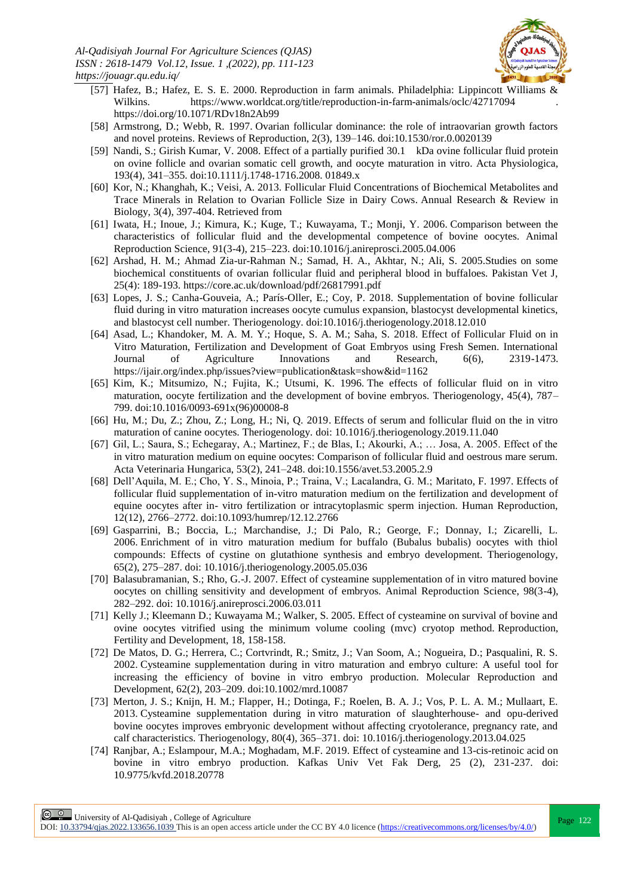

- [57] Hafez, B.; Hafez, E. S. E. 2000. Reproduction in farm animals. Philadelphia: Lippincott Williams & Wilkins. <https://www.worldcat.org/title/reproduction-in-farm-animals/oclc/42717094> <https://doi.org/10.1071/RDv18n2Ab99>
- [58] Armstrong, D.; Webb, R. 1997. Ovarian follicular dominance: the role of intraovarian growth factors and novel proteins. Reviews of Reproduction, 2(3), 139–146. doi:10.1530/ror.0.0020139
- [59] Nandi, S.; Girish Kumar, V. 2008. Effect of a partially purified 30.1 kDa ovine follicular fluid protein on ovine follicle and ovarian somatic cell growth, and oocyte maturation in vitro. Acta Physiologica, 193(4), 341–355. doi:10.1111/j.1748-1716.2008. 01849.x
- [60] Kor, N.; Khanghah, K.; Veisi, A. 2013. Follicular Fluid Concentrations of Biochemical Metabolites and Trace Minerals in Relation to Ovarian Follicle Size in Dairy Cows. Annual Research & Review in Biology, 3(4), 397-404. Retrieved from
- [61] Iwata, H.; Inoue, J.; Kimura, K.; Kuge, T.; Kuwayama, T.; Monji, Y. 2006. Comparison between the characteristics of follicular fluid and the developmental competence of bovine oocytes. Animal Reproduction Science, 91(3-4), 215–223. doi:10.1016/j.anireprosci.2005.04.006
- [62] Arshad, H. M.; Ahmad Zia-ur-Rahman N.; Samad, H. A., Akhtar, N.; Ali, S. 2005.Studies on some biochemical constituents of ovarian follicular fluid and peripheral blood in buffaloes. Pakistan Vet J, 25(4): 189-193. <https://core.ac.uk/download/pdf/26817991.pdf>
- [63] Lopes, J. S.; Canha-Gouveia, A.; París-Oller, E.; Coy, P. 2018. Supplementation of bovine follicular fluid during in vitro maturation increases oocyte cumulus expansion, blastocyst developmental kinetics, and blastocyst cell number. Theriogenology. doi:10.1016/j.theriogenology.2018.12.010
- [64] Asad, L.; Khandoker, M. A. M. Y.; Hoque, S. A. M.; Saha, S. 2018. Effect of Follicular Fluid on in Vitro Maturation, Fertilization and Development of Goat Embryos using Fresh Semen. International Journal of Agriculture Innovations and Research, 6(6), 2319-1473. <https://ijair.org/index.php/issues?view=publication&task=show&id=1162>
- [65] Kim, K.; Mitsumizo, N.; Fujita, K.; Utsumi, K. 1996. The effects of follicular fluid on in vitro maturation, oocyte fertilization and the development of bovine embryos. Theriogenology, 45(4), 787– 799. doi:10.1016/0093-691x(96)00008-8
- [66] Hu, M.; Du, Z.; Zhou, Z.; Long, H.; Ni, Q. 2019. Effects of serum and follicular fluid on the in vitro maturation of canine oocytes. Theriogenology. doi: 10.1016/j.theriogenology.2019.11.040
- [67] Gil, L.; Saura, S.; Echegaray, A.; Martinez, F.; de Blas, I.; Akourki, A.; … Josa, A. 2005. Effect of the in vitro maturation medium on equine oocytes: Comparison of follicular fluid and oestrous mare serum. Acta Veterinaria Hungarica, 53(2), 241–248. doi:10.1556/avet.53.2005.2.9
- [68] Dell'Aquila, M. E.; Cho, Y. S., Minoia, P.; Traina, V.; Lacalandra, G. M.; Maritato, F. 1997. Effects of follicular fluid supplementation of in-vitro maturation medium on the fertilization and development of equine oocytes after in- vitro fertilization or intracytoplasmic sperm injection. Human Reproduction, 12(12), 2766–2772. doi:10.1093/humrep/12.12.2766
- [69] Gasparrini, B.; Boccia, L.; Marchandise, J.; Di Palo, R.; George, F.; Donnay, I.; Zicarelli, L. 2006. Enrichment of in vitro maturation medium for buffalo (Bubalus bubalis) oocytes with thiol compounds: Effects of cystine on glutathione synthesis and embryo development. Theriogenology, 65(2), 275–287. doi: 10.1016/j.theriogenology.2005.05.036
- [70] Balasubramanian, S.; Rho, G.-J. 2007. Effect of cysteamine supplementation of in vitro matured bovine oocytes on chilling sensitivity and development of embryos. Animal Reproduction Science, 98(3-4), 282–292. doi: 10.1016/j.anireprosci.2006.03.011
- [71] Kelly J.; Kleemann D.; Kuwayama M.; Walker, S. 2005. Effect of cysteamine on survival of bovine and ovine oocytes vitrified using the minimum volume cooling (mvc) cryotop method. Reproduction, Fertility and Development, 18, 158-158.
- [72] De Matos, D. G.; Herrera, C.; Cortvrindt, R.; Smitz, J.; Van Soom, A.; Nogueira, D.; Pasqualini, R. S. 2002. Cysteamine supplementation during in vitro maturation and embryo culture: A useful tool for increasing the efficiency of bovine in vitro embryo production. Molecular Reproduction and Development, 62(2), 203–209. doi:10.1002/mrd.10087
- [73] Merton, J. S.; Knijn, H. M.; Flapper, H.; Dotinga, F.; Roelen, B. A. J.; Vos, P. L. A. M.; Mullaart, E. 2013. Cysteamine supplementation during in vitro maturation of slaughterhouse- and opu-derived bovine oocytes improves embryonic development without affecting cryotolerance, pregnancy rate, and calf characteristics. Theriogenology, 80(4), 365–371. doi: 10.1016/j.theriogenology.2013.04.025
- [74] Ranjbar, A.; Eslampour, M.A.; Moghadam, M.F. 2019. Effect of cysteamine and 13-cis-retinoic acid on bovine in vitro embryo production. Kafkas Univ Vet Fak Derg, 25 (2), 231-237. doi: 10.9775/kvfd.2018.20778

**Page 122**<br>
Page 122 University of Al-Qadisiyah, College of Agriculture<br>
Page 122